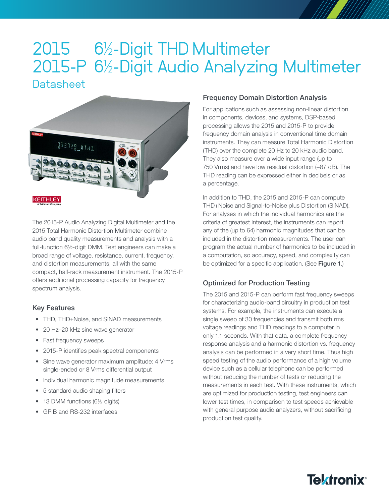# 2015 6½-Digit THD Multimeter 2015-P 6½-Digit Audio Analyzing Multimeter **Datasheet**



The 2015-P Audio Analyzing Digital Multimeter and the 2015 Total Harmonic Distortion Multimeter combine audio band quality measurements and analysis with a full-function 6½-digit DMM. Test engineers can make a broad range of voltage, resistance, current, frequency, and distortion measurements, all with the same compact, half-rack measurement instrument. The 2015-P offers additional processing capacity for frequency spectrum analysis.

#### Key Features

- THD, THD+Noise, and SINAD measurements
- 20 Hz–20 kHz sine wave generator
- Fast frequency sweeps
- 2015-P identifies peak spectral components
- Sine wave generator maximum amplitude: 4 Vrms single-ended or 8 Vrms differential output
- Individual harmonic magnitude measurements
- 5 standard audio shaping filters
- 13 DMM functions (6½ digits)
- GPIB and RS-232 interfaces

#### Frequency Domain Distortion Analysis

For applications such as assessing non-linear distortion in components, devices, and systems, DSP-based processing allows the 2015 and 2015-P to provide frequency domain analysis in conventional time domain instruments. They can measure Total Harmonic Distortion (THD) over the complete 20 Hz to 20 kHz audio band. They also measure over a wide input range (up to 750 Vrms) and have low residual distortion (–87 dB). The THD reading can be expressed either in decibels or as a percentage.

In addition to THD, the 2015 and 2015-P can compute THD+Noise and Signal-to-Noise plus Distortion (SINAD). For analyses in which the individual harmonics are the criteria of greatest interest, the instruments can report any of the (up to 64) harmonic magnitudes that can be included in the distortion measurements. The user can program the actual number of harmonics to be included in a computation, so accuracy, speed, and complexity can be optimized for a specific application. (See Figure 1.)

### Optimized for Production Testing

The 2015 and 2015-P can perform fast frequency sweeps for characterizing audio-band circuitry in production test systems. For example, the instruments can execute a single sweep of 30 frequencies and transmit both rms voltage readings and THD readings to a computer in only 1.1 seconds. With that data, a complete frequency response analysis and a harmonic distortion vs. frequency analysis can be performed in a very short time. Thus high speed testing of the audio performance of a high volume device such as a cellular telephone can be performed without reducing the number of tests or reducing the measurements in each test. With these instruments, which are optimized for production testing, test engineers can lower test times, in comparison to test speeds achievable with general purpose audio analyzers, without sacrificing production test quality.

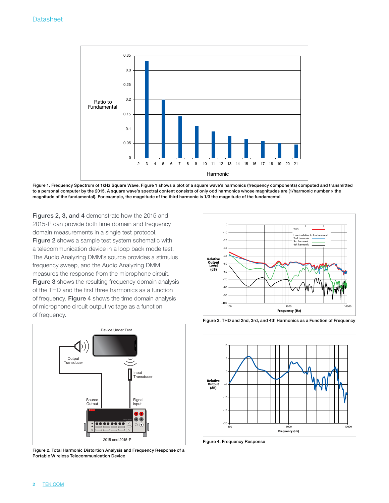

Figure 1. Frequency Spectrum of 1kHz Square Wave. Figure 1 shows a plot of a square wave's harmonics (frequency components) computed and transmitted to a personal computer by the 2015. A square wave's spectral content consists of only odd harmonics whose magnitudes are (1/harmonic number × the magnitude of the fundamental). For example, the magnitude of the third harmonic is 1⁄3 the magnitude of the fundamental.

Figures 2, 3, and 4 demonstrate how the 2015 and 2015-P can provide both time domain and frequency domain measurements in a single test protocol.

Figure 2 shows a sample test system schematic with a telecommunication device in a loop back mode test. The Audio Analyzing DMM's source provides a stimulus frequency sweep, and the Audio Analyzing DMM measures the response from the microphone circuit. Figure 3 shows the resulting frequency domain analysis of the THD and the first three harmonics as a function of frequency. Figure 4 shows the time domain analysis of microphone circuit output voltage as a function of frequency.



Figure 2. Total Harmonic Distortion Analysis and Frequency Response of a Portable Wireless Telecommunication Device

2 [TEK.COM](http://TEK.COM)





Figure 4. Frequency Response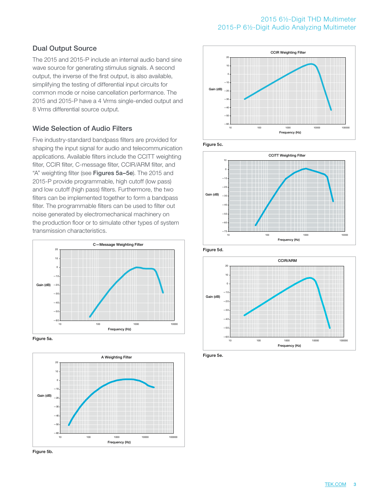#### 2015 6½-Digit THD Multimeter 2015-P 6½-Digit Audio Analyzing Multimeter

### Dual Output Source

The 2015 and 2015-P include an internal audio band sine wave source for generating stimulus signals. A second output, the inverse of the first output, is also available, simplifying the testing of differential input circuits for common mode or noise cancellation performance. The 2015 and 2015-P have a 4 Vrms single-ended output and 8 Vrms differential source output.

### Wide Selection of Audio Filters

Five industry-standard bandpass filters are provided for shaping the input signal for audio and telecommunication applications. Available filters include the CCITT weighting filter, CCIR filter, C-message filter, CCIR/ARM filter, and "A" weighting filter (see Figures 5a-5e). The 2015 and 2015-P provide programmable, high cutoff (low pass) and low cutoff (high pass) filters. Furthermore, the two filters can be implemented together to form a bandpass filter. The programmable filters can be used to filter out noise generated by electromechanical machinery on the production floor or to simulate other types of system transmission characteristics.







Figure 5b.



Figure 5c.



Figure 5d.



Figure 5e.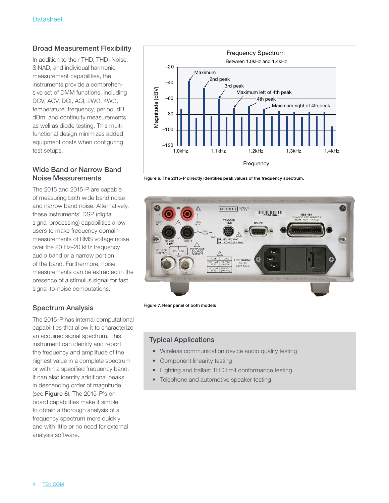### Broad Measurement Flexibility

In addition to their THD, THD+Noise, SINAD, and individual harmonic measurement capabilities, the instruments provide a comprehensive set of DMM functions, including DCV, ACV, DCI, ACI, 2WΩ, 4WΩ, temperature, frequency, period, dB, dBm, and continuity measurements, as well as diode testing. This multifunctional design minimizes added equipment costs when configuring test setups.

#### Wide Band or Narrow Band Noise Measurements

The 2015 and 2015-P are capable of measuring both wide band noise and narrow band noise. Alternatively, these instruments' DSP (digital signal processing) capabilities allow users to make frequency domain measurements of RMS voltage noise over the 20 Hz–20 kHz frequency audio band or a narrow portion of the band. Furthermore, noise measurements can be extracted in the presence of a stimulus signal for fast signal-to-noise computations.

### Spectrum Analysis

The 2015-P has internal computational capabilities that allow it to characterize an acquired signal spectrum. This instrument can identify and report the frequency and amplitude of the highest value in a complete spectrum or within a specified frequency band. It can also identify additional peaks in descending order of magnitude (see Figure 6). The 2015-P's onboard capabilities make it simple to obtain a thorough analysis of a frequency spectrum more quickly and with little or no need for external analysis software.



Figure 6. The 2015-P directly identifies peak values of the frequency spectrum.



Figure 7. Rear panel of both models

#### Typical Applications

- Wireless communication device audio quality testing
- Component linearity testing
- Lighting and ballast THD limit conformance testing
- Telephone and automotive speaker testing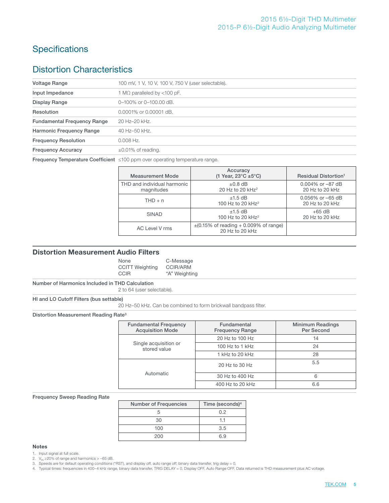# **Specifications**

### Distortion Characteristics

| <b>Voltage Range</b>               | 100 mV, 1 V, 10 V, 100 V, 750 V (user selectable).                                        |  |  |  |  |
|------------------------------------|-------------------------------------------------------------------------------------------|--|--|--|--|
| Input Impedance                    | 1 M $\Omega$ paralleled by <100 pF.                                                       |  |  |  |  |
| Display Range                      | 0-100% or 0-100.00 dB.                                                                    |  |  |  |  |
| Resolution                         | 0.0001% or 0.00001 dB.                                                                    |  |  |  |  |
| <b>Fundamental Frequency Range</b> | 20 Hz-20 kHz.                                                                             |  |  |  |  |
| Harmonic Frequency Range           | 40 Hz-50 kHz.                                                                             |  |  |  |  |
| <b>Frequency Resolution</b>        | $0.008$ Hz.                                                                               |  |  |  |  |
| <b>Frequency Accuracy</b>          | $\pm 0.01\%$ of reading.                                                                  |  |  |  |  |
|                                    | <b>Frequency Temperature Coefficient</b> $\leq 100$ ppm over operating temperature range. |  |  |  |  |
|                                    |                                                                                           |  |  |  |  |

| <b>Measurement Mode</b>                   | Accuracy<br>(1 Year, $23^{\circ}$ C ±5 $^{\circ}$ C)          | <b>Residual Distortion<sup>1</sup></b>   |
|-------------------------------------------|---------------------------------------------------------------|------------------------------------------|
| THD and individual harmonic<br>magnitudes | $\pm 0.8$ dB<br>20 Hz to 20 $kHz^2$                           | $0.004\%$ or $-87$ dB<br>20 Hz to 20 kHz |
| $THD + n$                                 | $±1.5$ dB<br>100 Hz to 20 kHz <sup>2</sup>                    | $0.056\%$ or $-65$ dB<br>20 Hz to 20 kHz |
| <b>SINAD</b>                              | $±1.5$ dB<br>100 Hz to 20 kHz <sup>2</sup>                    | $+65$ dB<br>20 Hz to 20 kHz              |
| AC Level V rms                            | $\pm$ (0.15% of reading + 0.009% of range)<br>20 Hz to 20 kHz |                                          |

#### Distortion Measurement Audio Filters

| None                   | C-Message       |
|------------------------|-----------------|
| <b>CCITT Weighting</b> | <b>CCIR/ARM</b> |
| <b>CCIR</b>            | "A" Weighting   |

#### Number of Harmonics Included in THD Calculation

2 to 64 (user selectable).

HI and LO Cutoff Filters (bus settable)

20 Hz–50 kHz. Can be combined to form brickwall bandpass filter.

Distortion Measurement Reading Rate3

| <b>Fundamental Frequency</b><br><b>Acquisition Mode</b> | Fundamental<br><b>Frequency Range</b> | <b>Minimum Readings</b><br>Per Second |
|---------------------------------------------------------|---------------------------------------|---------------------------------------|
|                                                         | 20 Hz to 100 Hz                       | 14                                    |
| Single acquisition or<br>stored value                   | 100 Hz to 1 $kHz$                     | 24                                    |
|                                                         | 1 kHz to 20 kHz                       | 28                                    |
|                                                         | 20 Hz to 30 Hz                        | 5.5                                   |
| Automatic                                               | 30 Hz to 400 Hz                       | 6                                     |
|                                                         | 400 Hz to 20 kHz                      | 6.6                                   |

#### Frequency Sweep Reading Rate

| <b>Number of Frequencies</b> | Time (seconds) <sup>4</sup> |
|------------------------------|-----------------------------|
|                              | 0.2                         |
| 30                           | 11                          |
| 100                          | 3.5                         |
| 200                          | 6.9                         |

#### Notes

1. Input signal at full scale.

2.  $V_{\text{IN}} \geq 20\%$  of range and harmonics  $> -65$  dB.

3. Speeds are for default operating conditions (\*RST), and display off, auto range off, binary data transfer, trig delay = 0.

4. Typical times: frequencies in 400–4 kHz range, binary data transfer, TRIG DELAY = 0, Display OFF, Auto Range OFF. Data returned is THD measurement plus AC voltage.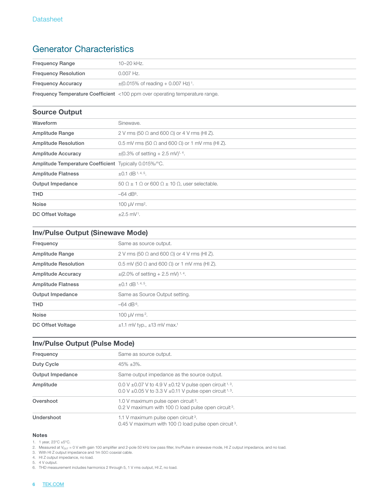# Generator Characteristics

| <b>Frequency Range</b>      | 10–20 kHz.                                                    |
|-----------------------------|---------------------------------------------------------------|
| <b>Frequency Resolution</b> | $0.007$ Hz.                                                   |
| <b>Frequency Accuracy</b>   | $\pm (0.015\% \text{ of reading } + 0.007 \text{ Hz})^{-1}$ . |
|                             |                                                               |

Frequency Temperature Coefficient <100 ppm over operating temperature range.

### Source Output

| Waveform                                               | Sinewave.                                                                 |  |  |
|--------------------------------------------------------|---------------------------------------------------------------------------|--|--|
| Amplitude Range                                        | 2 V rms (50 $\Omega$ and 600 $\Omega$ ) or 4 V rms (HI Z).                |  |  |
| <b>Amplitude Resolution</b>                            | 0.5 mV rms (50 $\Omega$ and 600 $\Omega$ ) or 1 mV rms (HI Z).            |  |  |
| Amplitude Accuracy                                     | $\pm (0.3\% \text{ of setting} + 2.5 \text{ mV})^{1,4}.$                  |  |  |
| Amplitude Temperature Coefficient Typically 0.015%/°C. |                                                                           |  |  |
| <b>Amplitude Flatness</b>                              | $\pm 0.1$ dB <sup>1, 4, 5</sup> .                                         |  |  |
| Output Impedance                                       | $50 \Omega \pm 1 \Omega$ or 600 $\Omega \pm 10 \Omega$ , user selectable. |  |  |
| <b>THD</b>                                             | $-64$ dB <sup>6</sup> .                                                   |  |  |
| <b>Noise</b>                                           | 100 µV rms <sup>2</sup> .                                                 |  |  |
| DC Offset Voltage                                      | $±2.5$ mV <sup>1</sup> .                                                  |  |  |

### Inv/Pulse Output (Sinewave Mode)

| Frequency                   | Same as source output.                                     |  |  |
|-----------------------------|------------------------------------------------------------|--|--|
| Amplitude Range             | 2 V rms (50 $\Omega$ and 600 $\Omega$ ) or 4 V rms (HI Z). |  |  |
| <b>Amplitude Resolution</b> | 0.5 mV (50 $\Omega$ and 600 $\Omega$ ) or 1 mV rms (HI Z). |  |  |
| <b>Amplitude Accuracy</b>   | $\pm$ (2.0% of setting + 2.5 mV) <sup>1,4</sup> .          |  |  |
| <b>Amplitude Flatness</b>   | $\pm$ 0.1 dB <sup>1,4,5</sup> .                            |  |  |
| Output Impedance            | Same as Source Output setting.                             |  |  |
| <b>THD</b>                  | $-64$ dB <sup>6</sup> .                                    |  |  |
| <b>Noise</b>                | 100 $\mu$ V rms <sup>2</sup> .                             |  |  |
| DC Offset Voltage           | $\pm 1.1$ mV typ., $\pm 13$ mV max. <sup>1</sup>           |  |  |
|                             |                                                            |  |  |

### Inv/Pulse Output (Pulse Mode)

| Frequency        | Same as source output.                                                                                                                 |
|------------------|----------------------------------------------------------------------------------------------------------------------------------------|
| Duty Cycle       | $45\% + 3\%$ .                                                                                                                         |
| Output Impedance | Same output impedance as the source output.                                                                                            |
| Amplitude        | 0.0 V $\pm$ 0.07 V to 4.9 V $\pm$ 0.12 V pulse open circuit 1, 3.<br>0.0 V $\pm$ 0.05 V to 3.3 V $\pm$ 0.11 V pulse open circuit 1, 3. |
| Overshoot        | 1.0 V maximum pulse open circuit <sup>3</sup> .<br>0.2 V maximum with 100 $\Omega$ load pulse open circuit <sup>3</sup> .              |
| Undershoot       | 1.1 V maximum pulse open circuit <sup>3</sup> .<br>0.45 V maximum with 100 $\Omega$ load pulse open circuit 3.                         |

#### Notes

1. 1 year, 23°C ±5°C.

2. Measured at V<sub>out</sub> = 0 V with gain 100 amplifier and 2-pole 50 kHz low pass filter, Inv/Pulse in sinewave mode, HI Z output impedance, and no load.

3. With HI Z output impedance and 1m 50Ω coaxial cable.

4. HI Z output impedance, no load.

5. 4 V output.

6. THD measurement includes harmonics 2 through 5, 1 V rms output, HI Z, no load.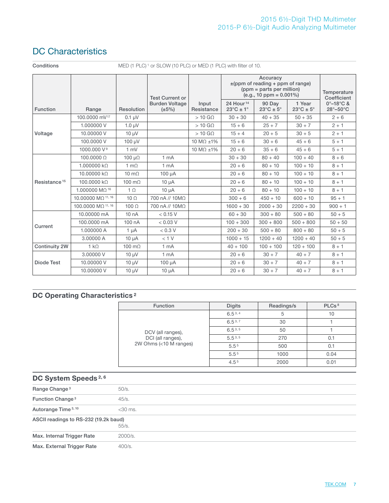# DC Characteristics

Conditions MED (1 PLC)<sup>1</sup> or SLOW (10 PLC) or MED (1 PLC) with filter of 10.

|                          |                                   |                         | <b>Test Current or</b>               |                     |                                              | Accuracy<br>$\pm$ (ppm of reading + ppm of range)<br>(ppm = parts per million)<br>$(e.q., 10 ppm = 0.001\%)$ |                                       | Temperature<br>Coefficient                 |
|--------------------------|-----------------------------------|-------------------------|--------------------------------------|---------------------|----------------------------------------------|--------------------------------------------------------------------------------------------------------------|---------------------------------------|--------------------------------------------|
| Function                 | Range                             | Resolution              | <b>Burden Voltage</b><br>$(\pm 5\%)$ | Input<br>Resistance | 24 Hour <sup>14</sup><br>$23^{\circ}$ C ± 1° | 90 Day<br>$23^{\circ}C \pm 5^{\circ}$                                                                        | 1 Year<br>$23^{\circ}C \pm 5^{\circ}$ | $0^{\circ}$ -18 $^{\circ}$ C &<br>28°-50°C |
|                          | 100,0000 mV <sup>17</sup>         | $0.1 \mu V$             |                                      | $>10$ G $\Omega$    | $30 + 30$                                    | $40 + 35$                                                                                                    | $50 + 35$                             | $2 + 6$                                    |
|                          | 1.000000 V                        | $1.0 \mu V$             |                                      | $>10$ G $\Omega$    | $15 + 6$                                     | $25 + 7$                                                                                                     | $30 + 7$                              | $2 + 1$                                    |
| Voltage                  | 10,00000 V                        | $10 \mu V$              |                                      | $>10$ G $\Omega$    | $15 + 4$                                     | $20 + 5$                                                                                                     | $30 + 5$                              | $2 + 1$                                    |
|                          | 100,0000 V                        | 100 µV                  |                                      | 10 MΩ ±1%           | $15 + 6$                                     | $30 + 6$                                                                                                     | $45 + 6$                              | $5 + 1$                                    |
|                          | 1000.000 V <sup>9</sup>           | 1 mV                    |                                      | 10 M $\Omega$ ±1%   | $20 + 6$                                     | $35 + 6$                                                                                                     | $45 + 6$                              | $5 + 1$                                    |
|                          | $100.0000 \Omega$                 | $100 \mu\Omega$         | 1 <sub>mA</sub>                      |                     | $30 + 30$                                    | $80 + 40$                                                                                                    | $100 + 40$                            | $8 + 6$                                    |
|                          | $1.000000 k\Omega$                | $1 \text{ m}\Omega$     | 1 <sub>mA</sub>                      |                     | $20 + 6$                                     | $80 + 10$                                                                                                    | $100 + 10$                            | $8 + 1$                                    |
|                          | 10.00000 kΩ                       | $10 \text{ m}$ $\Omega$ | 100 µA                               |                     | $20 + 6$                                     | $80 + 10$                                                                                                    | $100 + 10$                            | $8 + 1$                                    |
| Resistance <sup>15</sup> | 100,0000 kΩ                       | 100 $m\Omega$           | $10 \mu A$                           |                     | $20 + 6$                                     | $80 + 10$                                                                                                    | $100 + 10$                            | $8 + 1$                                    |
|                          | 1.000000 M $\Omega$ <sup>16</sup> | $1 \Omega$              | $10 \mu A$                           |                     | $20 + 6$                                     | $80 + 10$                                                                                                    | $100 + 10$                            | $8 + 1$                                    |
|                          | 10.00000 MQ 11, 16                | $10 \Omega$             | 700 nA // 10ΜΩ                       |                     | $300 + 6$                                    | $450 + 10$                                                                                                   | $600 + 10$                            | $95 + 1$                                   |
|                          | 100.0000 MQ 11, 16                | 100 $\Omega$            | 700 nA // 10ΜΩ                       |                     | $1600 + 30$                                  | $2000 + 30$                                                                                                  | $2200 + 30$                           | $900 + 1$                                  |
|                          | 10.00000 mA                       | 10 nA                   | < 0.15 V                             |                     | $60 + 30$                                    | $300 + 80$                                                                                                   | $500 + 80$                            | $50 + 5$                                   |
| Current                  | 100,0000 mA                       | 100 nA                  | < 0.03 V                             |                     | $100 + 300$                                  | $300 + 800$                                                                                                  | $500 + 800$                           | $50 + 50$                                  |
|                          | 1.000000 A                        | $1 \mu A$               | < 0.3 V                              |                     | $200 + 30$                                   | $500 + 80$                                                                                                   | $800 + 80$                            | $50 + 5$                                   |
|                          | 3.00000 A                         | $10 \mu A$              | < 1 V                                |                     | $1000 + 15$                                  | $1200 + 40$                                                                                                  | $1200 + 40$                           | $50 + 5$                                   |
| Continuity 2W            | $1 k\Omega$                       | 100 $m\Omega$           | 1 <sub>mA</sub>                      |                     | $40 + 100$                                   | $100 + 100$                                                                                                  | $120 + 100$                           | $8 + 1$                                    |
| <b>Diode Test</b>        | 3.00000 V                         | $10 \mu V$              | 1 <sub>mA</sub>                      |                     | $20 + 6$                                     | $30 + 7$                                                                                                     | $40 + 7$                              | $8 + 1$                                    |
|                          | 10,00000 V                        | $10 \mu V$              | 100 µA                               |                     | $20 + 6$                                     | $30 + 7$                                                                                                     | $40 + 7$                              | $8 + 1$                                    |
|                          | 10.00000 V                        | $10 \mu V$              | $10 \mu A$                           |                     | $20 + 6$                                     | $30 + 7$                                                                                                     | $40 + 7$                              | $8 + 1$                                    |

### DC Operating Characteristics<sup>2</sup>

| <b>Function</b>        | <b>Digits</b>    | Readings/s | PLCs <sup>8</sup> |
|------------------------|------------------|------------|-------------------|
|                        | $6.5^{3,4}$      | 5          | 10                |
|                        | $6.5^{3,7}$      | 30         |                   |
| DCV (all ranges),      | $6.5^{3,5}$      | 50         |                   |
| DCI (all ranges),      | $5.5^{3,5}$      | 270        | 0.1               |
| 2W Ohms (<10 M ranges) | 5.5 <sup>5</sup> | 500        | 0.1               |
|                        | 5.5 <sup>5</sup> | 1000       | 0.04              |
|                        | 4.5 <sup>5</sup> | 2000       | 0.01              |

| DC System Speeds <sup>2,6</sup>       |            |  |  |  |
|---------------------------------------|------------|--|--|--|
| Range Change <sup>3</sup>             | 50/s.      |  |  |  |
| Function Change <sup>3</sup>          | 45/s.      |  |  |  |
| Autorange Time 3, 10                  | $<$ 30 ms. |  |  |  |
| ASCII readings to RS-232 (19.2k baud) | 55/s.      |  |  |  |
| Max. Internal Trigger Rate            | 2000/s.    |  |  |  |
| Max. External Trigger Rate            | 400/s.     |  |  |  |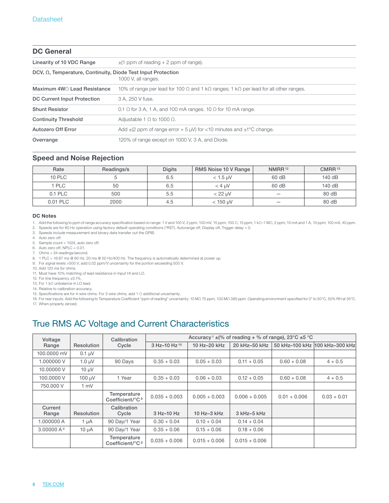| <b>DC General</b>                                                    |                                                                                                             |  |  |  |
|----------------------------------------------------------------------|-------------------------------------------------------------------------------------------------------------|--|--|--|
| Linearity of 10 VDC Range                                            | $\pm$ (1 ppm of reading + 2 ppm of range).                                                                  |  |  |  |
| DCV, $\Omega$ , Temperature, Continuity, Diode Test Input Protection | 1000 V, all ranges.                                                                                         |  |  |  |
| Maximum 4W C Lead Resistance                                         | 10% of range per lead for 100 $\Omega$ and 1 k $\Omega$ ranges; 1 k $\Omega$ per lead for all other ranges. |  |  |  |
| DC Current Input Protection                                          | 3 A. 250 V fuse.                                                                                            |  |  |  |
| <b>Shunt Resistor</b>                                                | 0.1 $\Omega$ for 3 A, 1 A, and 100 mA ranges. 10 $\Omega$ for 10 mA range.                                  |  |  |  |
| <b>Continuity Threshold</b>                                          | Adjustable 1 $\Omega$ to 1000 $\Omega$ .                                                                    |  |  |  |
| Autozero Off Error                                                   | Add $\pm$ (2 ppm of range error + 5 µV) for <10 minutes and $\pm$ 1°C change.                               |  |  |  |
| Overrange                                                            | 120% of range except on 1000 V, 3 A, and Diode.                                                             |  |  |  |

#### Speed and Noise Rejection

| Rate       | Readings/s | <b>Digits</b> | RMS Noise 10 V Range | NMRR <sup>12</sup>       | CMRR <sup>13</sup> |
|------------|------------|---------------|----------------------|--------------------------|--------------------|
| 10 PLC     |            | 6.5           | $<$ 1.5 $\mu$ V      | 60 dB                    | 140 dB             |
| <b>PLC</b> | 50         | 6.5           | $<$ 4 $\mu$ V        | 60 dB                    | 140 dB             |
| 0.1 PLC    | 500        | 5.5           | $<$ 22 $\mu$ V       | $\overline{\phantom{a}}$ | 80 dB              |
| 0.01 PLC   | 2000       | 4.5           | $<$ 150 $\mu$ V      | $\overline{\phantom{a}}$ | 80 dB              |

#### DC Notes

1. Add the following to ppm of range accuracy specification based on range: 1 V and 100 V, 2 ppm; 100 mV, 15 ppm; 100 Ω, 15 ppm; 1AΩ–1 MΩ, 2 ppm; 10 mA and 1 A, 10 ppm; 100 mA, 40 ppm.

- 2. Speeds are for 60 Hz operation using factory default operating conditions (\*RST). Autorange off, Display off, Trigger delay = 0.
- 3. Speeds include measurement and binary data transfer out the GPIB.
- 4. Auto zero off.
- 5. Sample count = 1024, auto zero off.
- 6. Auto zero off, NPLC = 0.01.
- 7. Ohms = 24 readings/second.
- 8. 1 PLC = 16.67 ms @ 60 Hz, 20 ms @ 50 Hz/400 Hz. The frequency is automatically determined at power up.
- 9. For signal levels >500 V, add 0.02 ppm/V uncertainty for the portion exceeding 500 V.
- 10. Add 120 ms for ohms.
- 11. Must have 10% matching of lead resistance in Input HI and LO.
- 12. For line frequency ±0.1%.
- 13. For 1 kΩ unbalance in LO lead.
- 14. Relative to calibration accuracy.
- 15. Specifications are for 4-wire ohms. For 2-wire ohms, add 1 Ω additional uncertainty.
- 16. For rear inputs. Add the following to Temperature Coefficient "ppm of reading" uncertainty: 10 MΩ 70 ppm, 100 MΩ 385 ppm. Operating environment specified for 0° to 50°C, 50% RH at 35°C. 17. When properly zeroed.

### True RMS AC Voltage and Current Characteristics

| Voltage               |                   | Accuracy <sup>1</sup> $\pm$ (% of reading + % of range), 23 °C $\pm$ 5 °C<br>Calibration |                          |                 |                  |                |                                |
|-----------------------|-------------------|------------------------------------------------------------------------------------------|--------------------------|-----------------|------------------|----------------|--------------------------------|
| Range                 | Resolution        | Cycle                                                                                    | 3 Hz-10 Hz <sup>10</sup> | 10 Hz-20 kHz    | 20 kHz-50 kHz    |                | 50 kHz-100 kHz 100 kHz-300 kHz |
| 100,0000 mV           | $0.1 \mu V$       |                                                                                          |                          |                 |                  |                |                                |
| 1.000000V             | $1.0 \mu V$       | 90 Days                                                                                  | $0.35 + 0.03$            | $0.05 + 0.03$   | $0.11 + 0.05$    | $0.60 + 0.08$  | $4 + 0.5$                      |
| 10,00000 V            | $10 \mu V$        |                                                                                          |                          |                 |                  |                |                                |
| 100,0000 V            | $100 \mu V$       | 1 Year                                                                                   | $0.35 + 0.03$            | $0.06 + 0.03$   | $0.12 + 0.05$    | $0.60 + 0.08$  | $4 + 0.5$                      |
| 750,000 V             | $1 \text{ mV}$    |                                                                                          |                          |                 |                  |                |                                |
|                       |                   | Temperature<br>Coefficient/°C <sup>8</sup>                                               | $0.035 + 0.003$          | $0.005 + 0.003$ | $0.006 + 0.005$  | $0.01 + 0.006$ | $0.03 + 0.01$                  |
| Current<br>Range      | <b>Resolution</b> | Calibration<br>Cycle                                                                     | 3 Hz-10 Hz               | 10 Hz-3 kHz     | $3$ kHz- $5$ kHz |                |                                |
| 1.000000 A            | 1 µA              | 90 Day/1 Year                                                                            | $0.30 + 0.04$            | $0.10 + 0.04$   | $0.14 + 0.04$    |                |                                |
| 3.00000A <sup>9</sup> | $10 \mu A$        | 90 Day/1 Year                                                                            | $0.35 + 0.06$            | $0.15 + 0.06$   | $0.18 + 0.06$    |                |                                |
|                       |                   | Temperature<br>Coefficient/°C <sup>8</sup>                                               | $0.035 + 0.006$          | $0.015 + 0.006$ | $0.015 + 0.006$  |                |                                |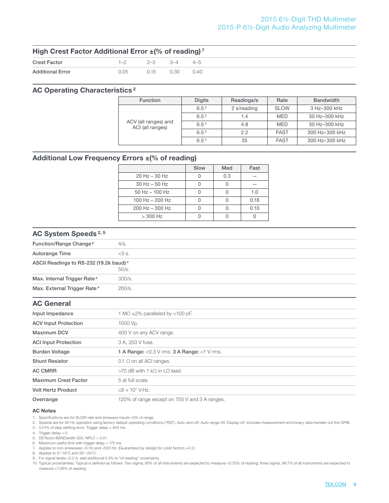#### 2015 6½-Digit THD Multimeter 2015-P 6½-Digit Audio Analyzing Multimeter

| High Crest Factor Additional Error ±(% of reading) <sup>7</sup> |      |                         |      |      |
|-----------------------------------------------------------------|------|-------------------------|------|------|
| <b>Crest Factor</b>                                             |      | $1-2$ $2-3$ $3-4$ $4-5$ |      |      |
| <b>Additional Error</b>                                         | 0.05 | $0.15$ .                | 0.30 | 0.40 |

#### AC Operating Characteristics 2

| <b>Function</b>                          | <b>Digits</b>    | Readings/s  | Rate        | <b>Bandwidth</b> |
|------------------------------------------|------------------|-------------|-------------|------------------|
| ACV (all ranges) and<br>ACI (all ranges) | 6.5 <sup>3</sup> | 2 s/reading | <b>SLOW</b> | 3 Hz-300 kHz     |
|                                          | 6.5 <sup>3</sup> | 1.4         | <b>MED</b>  | 30 Hz-300 kHz    |
|                                          | 6.54             | 4.8         | <b>MED</b>  | 30 Hz-300 kHz    |
|                                          | 6.5 <sup>3</sup> | 2.2         | <b>FAST</b> | 300 Hz-300 kHz   |
|                                          | 6.54             | 35          | <b>FAST</b> | 300 Hz-300 kHz   |

### Additional Low Frequency Errors ±(% of reading)

|                     | Slow | Med | Fast |
|---------------------|------|-----|------|
| $20$ Hz $-$ 30 Hz   |      | 0.3 |      |
| $30$ Hz $-50$ Hz    |      |     |      |
| $50$ Hz $-$ 100 Hz  |      |     | 1.0  |
| 100 Hz $-$ 200 Hz   |      |     | 0.18 |
| $200$ Hz $-$ 300 Hz |      |     | 0.10 |
| $>$ 300 Hz          |      |     |      |

#### AC System Speeds 2, 5

| Function/Range Change <sup>6</sup>                 | 4/s.    |
|----------------------------------------------------|---------|
| Autorange Time                                     | $<3$ s. |
| ASCII Readings to RS-232 (19.2k baud) <sup>4</sup> | 50/s.   |
| Max. Internal Trigger Rate <sup>4</sup>            | 300/s.  |
| Max. External Trigger Rate <sup>4</sup>            | 260/s.  |
| <b>AC General</b>                                  |         |
| .                                                  |         |

| Input Impedance                           | 1 M $\Omega$ ±2% paralleled by <100 pF.                                                                                             |  |  |  |
|-------------------------------------------|-------------------------------------------------------------------------------------------------------------------------------------|--|--|--|
| <b>ACV Input Protection</b>               | 1000 Vp.                                                                                                                            |  |  |  |
| <b>Maximum DCV</b>                        | 400 V on any ACV range.                                                                                                             |  |  |  |
| <b>ACI Input Protection</b>               | 3 A, 250 V fuse.                                                                                                                    |  |  |  |
| <b>Burden Voltage</b>                     | <b>1 A Range:</b> <0.3 V rms. <b>3 A Range:</b> <1 V rms.                                                                           |  |  |  |
| <b>Shunt Resistor</b>                     | $0.1 \Omega$ on all ACI ranges.                                                                                                     |  |  |  |
| <b>AC CMRR</b>                            | $>70$ dB with 1 k $\Omega$ in LO lead.                                                                                              |  |  |  |
| <b>Maximum Crest Factor</b>               | 5 at full scale.                                                                                                                    |  |  |  |
| <b>Volt Hertz Product</b>                 | $<8 \times 10^7$ V·Hz.                                                                                                              |  |  |  |
| $\sim$ $\sim$ $\sim$ $\sim$ $\sim$ $\sim$ | $\mathcal{A} \cap \mathcal{A} \cap \mathcal{A}$ is the set of $\mathcal{A}$ is the set of $\mathcal{A}$ is the set of $\mathcal{A}$ |  |  |  |

Overrange 120% of range except on 750 V and 3 A ranges.

#### AC Notes

1. Specifications are for SLOW rate and sinewave inputs >5% of range.

- 2. Speeds are for 60 Hz operation using factory default operating conditions (\*RST). Auto zero off, Auto range off, Display off, includes measurement and binary data transfer out the GPIB.
- 3. 0.01% of step settling error. Trigger delay = 400 ms.
- 4. Trigger delay = 0.
- 5. DETector:BANDwidth 300, NPLC =  $0.01$ .
- 6. Maximum useful limit with trigger delay = 175 ms.
- 7. Applies to non-sinewaves >5 Hz and <500 Hz. (Guaranteed by design for crest factors >4.3.)
- 8. Applies to 0°-18°C and 28°-50°C.
- 9. For signal levels >2.2 A, add additional 0.4% to "of reading" uncertainty.
- 10. Typical uncertainties. Typical is defined as follows: Two sigma, 95% of all instruments are expected to measure <0.35% of reading; three sigma, 99.7% of all instruments are expected to measure <1.06% of reading.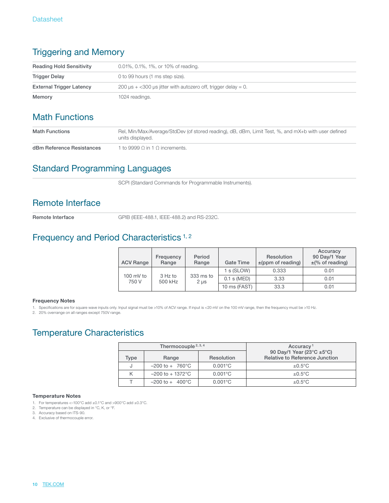# Triggering and Memory

| <b>Reading Hold Sensitivity</b> | 0.01%, 0.1%, 1%, or 10% of reading.                                     |  |  |
|---------------------------------|-------------------------------------------------------------------------|--|--|
| <b>Trigger Delay</b>            | 0 to 99 hours (1 ms step size).                                         |  |  |
| <b>External Trigger Latency</b> | 200 $\mu$ s + <300 $\mu$ s jitter with autozero off, trigger delay = 0. |  |  |
| Memory                          | 1024 readings.                                                          |  |  |

# Math Functions

| <b>Math Functions</b>     | Rel, Min/Max/Average/StdDev (of stored reading), dB, dBm, Limit Test, %, and mX+b with user defined<br>units displayed. |
|---------------------------|-------------------------------------------------------------------------------------------------------------------------|
| dBm Reference Resistances | 1 to 9999 $\circ$ in 1 $\circ$ increments.                                                                              |

# Standard Programming Languages

SCPI (Standard Commands for Programmable Instruments).

### Remote Interface

Remote Interface GPIB (IEEE-488.1, IEEE-488.2) and RS-232C.

### Frequency and Period Characteristics<sup>1,2</sup>

| <b>ACV Range</b>     | Frequency<br>Range   | Period<br>Range        | Gate Time     | <b>Resolution</b><br>$\pm$ (ppm of reading) | Accuracy<br>90 Day/1 Year<br>$\pm$ (% of reading) |
|----------------------|----------------------|------------------------|---------------|---------------------------------------------|---------------------------------------------------|
|                      |                      |                        | 1 s (SLOW)    | 0.333                                       | 0.01                                              |
| 100 $mV$ to<br>750 V | $3$ Hz to<br>500 kHz | 333 ms to<br>$2 \mu s$ | $0.1$ s (MED) | 3.33                                        | 0.01                                              |
|                      |                      |                        | 10 ms (FAST)  | 33.3                                        | 0.01                                              |

#### Frequency Notes

1. Specifications are for square wave inputs only. Input signal must be >10% of ACV range. If input is <20 mV on the 100 mV range, then the frequency must be >10 Hz.

2. 20% overrange on all ranges except 750V range.

# Temperature Characteristics

|      | Thermocouple $2, 3, 4$                    |                   | Accuracy <sup>1</sup>                                              |
|------|-------------------------------------------|-------------------|--------------------------------------------------------------------|
| Type | Range                                     | Resolution        | 90 Day/1 Year (23°C ±5°C)<br><b>Relative to Reference Junction</b> |
|      | $-200 \text{ to } + 760^{\circ} \text{C}$ | $0.001^{\circ}$ C | $\pm 0.5$ °C                                                       |
| К    | $-200$ to $+1372^{\circ}$ C               | $0.001^{\circ}$ C | $\pm 0.5$ °C                                                       |
|      | $-200 \text{ to } + 400^{\circ} \text{C}$ | $0.001^{\circ}$ C | $\pm 0.5$ °C                                                       |

#### Temperature Notes

- 1. For temperatures <–100°C add ±0.1°C and >900°C add ±0.3°C.
- 2. Temperature can be displayed in °C, K, or °F.
- 3. Accuracy based on ITS-90.
- 4. Exclusive of thermocouple error.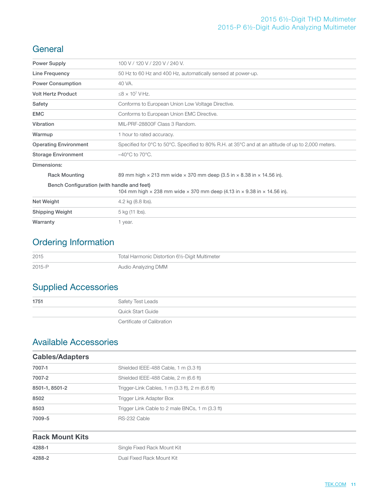### 2015 6½-Digit THD Multimeter 2015-P 6½-Digit Audio Analyzing Multimeter

### **General**

| <b>Power Supply</b>                        | 100 V / 120 V / 220 V / 240 V.                                                                                                    |
|--------------------------------------------|-----------------------------------------------------------------------------------------------------------------------------------|
| Line Frequency                             | 50 Hz to 60 Hz and 400 Hz, automatically sensed at power-up.                                                                      |
| <b>Power Consumption</b>                   | 40 VA.                                                                                                                            |
| <b>Volt Hertz Product</b>                  | $\leq$ 8 × 10 <sup>7</sup> V·Hz.                                                                                                  |
| Safety                                     | Conforms to European Union Low Voltage Directive.                                                                                 |
| <b>EMC</b>                                 | Conforms to European Union EMC Directive.                                                                                         |
| Vibration                                  | MIL-PRF-28800F Class 3 Random.                                                                                                    |
| Warmup                                     | 1 hour to rated accuracy.                                                                                                         |
| <b>Operating Environment</b>               | Specified for $0^{\circ}$ C to $50^{\circ}$ C. Specified to 80% R.H. at 35 $^{\circ}$ C and at an altitude of up to 2,000 meters. |
| <b>Storage Environment</b>                 | $-40^{\circ}$ C to 70 $^{\circ}$ C.                                                                                               |
| Dimensions:                                |                                                                                                                                   |
| <b>Rack Mounting</b>                       | 89 mm high $\times$ 213 mm wide $\times$ 370 mm deep (3.5 in $\times$ 8.38 in $\times$ 14.56 in).                                 |
| Bench Configuration (with handle and feet) |                                                                                                                                   |
|                                            | 104 mm high $\times$ 238 mm wide $\times$ 370 mm deep (4.13 in $\times$ 9.38 in $\times$ 14.56 in).                               |
| Net Weight                                 | 4.2 kg (8.8 lbs).                                                                                                                 |
| <b>Shipping Weight</b>                     | 5 kg (11 lbs).                                                                                                                    |
| Warranty                                   | 1 year.                                                                                                                           |

# Ordering Information

| 2015   | Total Harmonic Distortion 61/2-Digit Multimeter |
|--------|-------------------------------------------------|
| 2015-P | Audio Analyzing DMM                             |

# Supplied Accessories

| 1751 | Safety Test Leads          |
|------|----------------------------|
|      | Quick Start Guide          |
|      | Certificate of Calibration |

# Available Accessories

| <b>Cables/Adapters</b> |                                                 |
|------------------------|-------------------------------------------------|
| 7007-1                 | Shielded IEEE-488 Cable, 1 m (3.3 ft)           |
| 7007-2                 | Shielded IEEE-488 Cable, 2 m (6.6 ft)           |
| 8501-1, 8501-2         | Trigger-Link Cables, 1 m (3.3 ft), 2 m (6.6 ft) |
| 8502                   | Trigger Link Adapter Box                        |
| 8503                   | Trigger Link Cable to 2 male BNCs, 1 m (3.3 ft) |
| 7009-5                 | RS-232 Cable                                    |

| <b>Rack Mount Kits</b> |                             |
|------------------------|-----------------------------|
| 4288-1                 | Single Fixed Rack Mount Kit |
| 4288-2                 | Dual Fixed Rack Mount Kit   |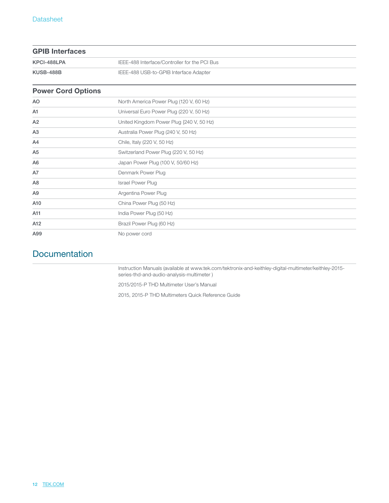| <b>GPIB Interfaces</b> |                                               |
|------------------------|-----------------------------------------------|
| KPCI-488LPA            | IEEE-488 Interface/Controller for the PCI Bus |
| KUSB-488B              | IEEE-488 USB-to-GPIB Interface Adapter        |

### Power Cord Options

| <b>AO</b>      | North America Power Plug (120 V, 60 Hz)  |
|----------------|------------------------------------------|
| A1             | Universal Euro Power Plug (220 V, 50 Hz) |
| A2             | United Kingdom Power Plug {240 V, 50 Hz) |
| A3             | Australia Power Plug (240 V, 50 Hz)      |
| A4             | Chile, Italy (220 V, 50 Hz)              |
| A <sub>5</sub> | Switzerland Power Plug (220 V, 50 Hz)    |
| A <sub>6</sub> | Japan Power Plug (100 V, 50/60 Hz)       |
| A7             | Denmark Power Plug                       |
| A <sub>8</sub> | <b>Israel Power Plug</b>                 |
| A <sub>9</sub> | Argentina Power Plug                     |
| A10            | China Power Plug (50 Hz)                 |
| A11            | India Power Plug (50 Hz)                 |
| A12            | Brazil Power Plug (60 Hz)                |
| A99            | No power cord                            |

# **Documentation**

Instruction Manuals (available at www.tek.com/tektronix-and-keithley-digital-multimeter/keithley-2015 series-thd-and-audio-analysis-multimeter )

2015/2015-P THD Multimeter User's Manual

2015, 2015-P THD Multimeters Quick Reference Guide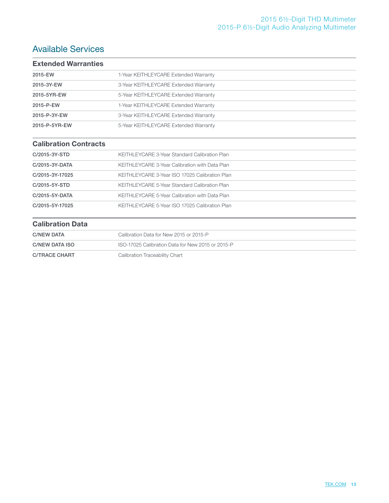# Available Services

| <b>Extended Warranties</b> |                                       |
|----------------------------|---------------------------------------|
| 2015-EW                    | 1-Year KEITHLEYCARE Extended Warranty |
| 2015-3Y-EW                 | 3-Year KEITHLEYCARE Extended Warranty |
| 2015-5YR-EW                | 5-Year KEITHLEYCARE Extended Warranty |
| 2015-P-EW                  | 1-Year KEITHLEYCARE Extended Warranty |
| 2015-P-3Y-EW               | 3-Year KEITHLEYCARE Extended Warranty |
| 2015-P-5YR-EW              | 5-Year KEITHLEYCARE Extended Warranty |

### Calibration Contracts

| C/2015-3Y-STD   | KEITHLEYCARE 3-Year Standard Calibration Plan  |
|-----------------|------------------------------------------------|
| C/2015-3Y-DATA  | KEITHLEYCARE 3-Year Calibration with Data Plan |
| C/2015-3Y-17025 | KEITHLEYCARE 3-Year ISO 17025 Calibration Plan |
| C/2015-5Y-STD   | KEITHLEYCARE 5-Year Standard Calibration Plan  |
| C/2015-5Y-DATA  | KEITHLEYCARE 5-Year Calibration with Data Plan |
| C/2015-5Y-17025 | KEITHLEYCARE 5-Year ISO 17025 Calibration Plan |

#### Calibration Data

| <b>C/NEW DATA</b> | Calibration Data for New 2015 or 2015-P           |
|-------------------|---------------------------------------------------|
| C/NEW DATA ISO    | ISO-17025 Calibration Data for New 2015 or 2015-P |
| C/TRACE CHART     | Calibration Traceability Chart                    |